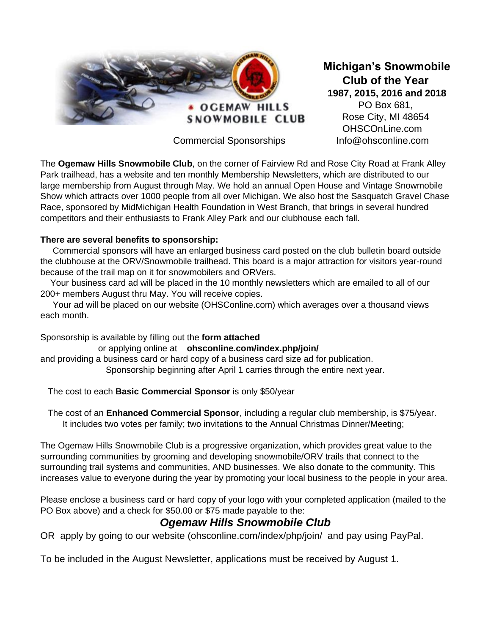

Commercial Sponsorships Info@ohsconline.com

**Michigan's Snowmobile Club of the Year 1987, 2015, 2016 and 2018** PO Box 681, Rose City, MI 48654 OHSCOnLine.com

The **Ogemaw Hills Snowmobile Club**, on the corner of Fairview Rd and Rose City Road at Frank Alley Park trailhead, has a website and ten monthly Membership Newsletters, which are distributed to our large membership from August through May. We hold an annual Open House and Vintage Snowmobile Show which attracts over 1000 people from all over Michigan. We also host the Sasquatch Gravel Chase Race, sponsored by MidMichigan Health Foundation in West Branch, that brings in several hundred competitors and their enthusiasts to Frank Alley Park and our clubhouse each fall.

## **There are several benefits to sponsorship:**

 Commercial sponsors will have an enlarged business card posted on the club bulletin board outside the clubhouse at the ORV/Snowmobile trailhead. This board is a major attraction for visitors year-round because of the trail map on it for snowmobilers and ORVers.

 Your business card ad will be placed in the 10 monthly newsletters which are emailed to all of our 200+ members August thru May. You will receive copies.

 Your ad will be placed on our website (OHSConline.com) which averages over a thousand views each month.

Sponsorship is available by filling out the **form attached**

or applying online at **ohsconline.com/index.php/join/** and providing a business card or hard copy of a business card size ad for publication. Sponsorship beginning after April 1 carries through the entire next year.

The cost to each **Basic Commercial Sponsor** is only \$50/year

 The cost of an **Enhanced Commercial Sponsor**, including a regular club membership, is \$75/year. It includes two votes per family; two invitations to the Annual Christmas Dinner/Meeting;

The Ogemaw Hills Snowmobile Club is a progressive organization, which provides great value to the surrounding communities by grooming and developing snowmobile/ORV trails that connect to the surrounding trail systems and communities, AND businesses. We also donate to the community. This increases value to everyone during the year by promoting your local business to the people in your area.

Please enclose a business card or hard copy of your logo with your completed application (mailed to the PO Box above) and a check for \$50.00 or \$75 made payable to the:

## *Ogemaw Hills Snowmobile Club*

OR apply by going to our website (ohsconline.com/index/php/join/ and pay using PayPal.

To be included in the August Newsletter, applications must be received by August 1.